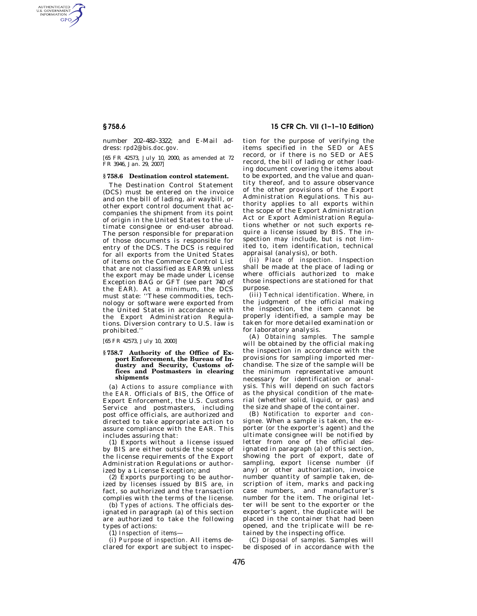AUTHENTICATED<br>U.S. GOVERNMENT<br>INFORMATION **GPO** 

> number 202–482–3322; and E-Mail address: *rpd2@bis.doc.gov*.

> [65 FR 42573, July 10, 2000, as amended at 72 FR 3946, Jan. 29, 2007]

#### **§ 758.6 Destination control statement.**

The Destination Control Statement (DCS) must be entered on the invoice and on the bill of lading, air waybill, or other export control document that accompanies the shipment from its point of origin in the United States to the ultimate consignee or end-user abroad. The person responsible for preparation of those documents is responsible for entry of the DCS. The DCS is required for all exports from the United States of items on the Commerce Control List that are not classified as EAR99, unless the export may be made under License Exception BAG or GFT (see part 740 of the EAR). At a minimum, the DCS must state: ''These commodities, technology or software were exported from the United States in accordance with the Export Administration Regulations. Diversion contrary to U.S. law is prohibited.''

[65 FR 42573, July 10, 2000]

#### **§ 758.7 Authority of the Office of Export Enforcement, the Bureau of Industry and Security, Customs offices and Postmasters in clearing shipments**

(a) *Actions to assure compliance with the EAR.* Officials of BIS, the Office of Export Enforcement, the U.S. Customs Service and postmasters, including post office officials, are authorized and directed to take appropriate action to assure compliance with the EAR. This includes assuring that:

(1) Exports without a license issued by BIS are either outside the scope of the license requirements of the Export Administration Regulations or authorized by a License Exception; and

(2) Exports purporting to be authorized by licenses issued by BIS are, in fact, so authorized and the transaction complies with the terms of the license.

(b) *Types of actions.* The officials designated in paragraph (a) of this section are authorized to take the following types of actions:

(1) *Inspection of items*—

(i) *Purpose of inspection.* All items declared for export are subject to inspec-

# **§ 758.6 15 CFR Ch. VII (1–1–10 Edition)**

tion for the purpose of verifying the items specified in the SED or AES record, or if there is no SED or AES record, the bill of lading or other loading document covering the items about to be exported, and the value and quantity thereof, and to assure observance of the other provisions of the Export Administration Regulations. This authority applies to all exports within the scope of the Export Administration Act or Export Administration Regulations whether or not such exports require a license issued by BIS. The inspection may include, but is not limited to, item identification, technical appraisal (analysis), or both.

(ii) *Place of inspection.* Inspection shall be made at the place of lading or where officials authorized to make those inspections are stationed for that purpose.

(iii) *Technical identification.* Where, in the judgment of the official making the inspection, the item cannot be properly identified, a sample may be taken for more detailed examination or for laboratory analysis.

(A) *Obtaining samples.* The sample will be obtained by the official making the inspection in accordance with the provisions for sampling imported merchandise. The size of the sample will be the minimum representative amount necessary for identification or analysis. This will depend on such factors as the physical condition of the material (whether solid, liquid, or gas) and the size and shape of the container.

(B) *Notification to exporter and consignee.* When a sample is taken, the exporter (or the exporter's agent) and the ultimate consignee will be notified by letter from one of the official designated in paragraph (a) of this section, showing the port of export, date of sampling, export license number (if any) or other authorization, invoice number quantity of sample taken, description of item, marks and packing case numbers, and manufacturer's number for the item. The original letter will be sent to the exporter or the exporter's agent, the duplicate will be placed in the container that had been opened, and the triplicate will be retained by the inspecting office.

(C) *Disposal of samples.* Samples will be disposed of in accordance with the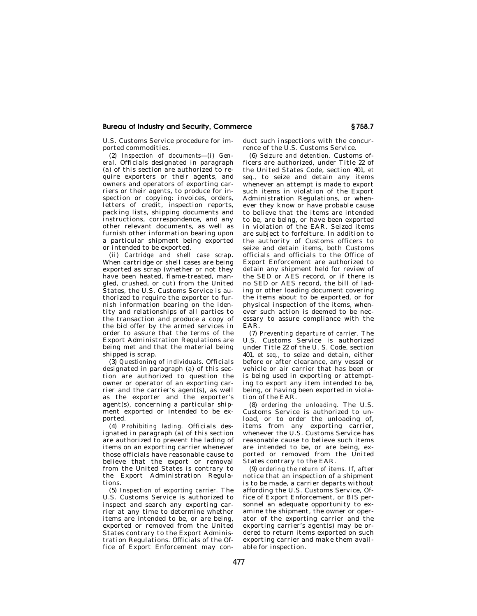## **Bureau of Industry and Security, Commerce § 758.7**

U.S. Customs Service procedure for imported commodities.

(2) *Inspection of documents*—(i) *General.* Officials designated in paragraph (a) of this section are authorized to require exporters or their agents, and owners and operators of exporting carriers or their agents, to produce for inspection or copying: invoices, orders, letters of credit, inspection reports, packing lists, shipping documents and instructions, correspondence, and any other relevant documents, as well as furnish other information bearing upon a particular shipment being exported or intended to be exported.

(ii) *Cartridge and shell case scrap.*  When cartridge or shell cases are being exported as scrap (whether or not they have been heated, flame-treated, mangled, crushed, or cut) from the United States, the U.S. Customs Service is authorized to require the exporter to furnish information bearing on the identity and relationships of all parties to the transaction and produce a copy of the bid offer by the armed services in order to assure that the terms of the Export Administration Regulations are being met and that the material being shipped is scrap.

(3) *Questioning of individuals.* Officials designated in paragraph (a) of this section are authorized to question the owner or operator of an exporting carrier and the carrier's agent(s), as well as the exporter and the exporter's agent(s), concerning a particular shipment exported or intended to be exported.

(4) *Prohibiting lading.* Officials designated in paragraph (a) of this section are authorized to prevent the lading of items on an exporting carrier whenever those officials have reasonable cause to believe that the export or removal from the United States is contrary to the Export Administration Regulations.

(5) *Inspection of exporting carrier.* The U.S. Customs Service is authorized to inspect and search any exporting carrier at any time to determine whether items are intended to be, or are being, exported or removed from the United States contrary to the Export Administration Regulations. Officials of the Office of Export Enforcement may conduct such inspections with the concurrence of the U.S. Customs Service.

(6) *Seizure and detention.* Customs officers are authorized, under Title 22 of the United States Code, section 401, *et seq.,* to seize and detain any items whenever an attempt is made to export such items in violation of the Export Administration Regulations, or whenever they know or have probable cause to believe that the items are intended to be, are being, or have been exported in violation of the EAR. Seized items are subject to forfeiture. In addition to the authority of Customs officers to seize and detain items, both Customs officials and officials to the Office of Export Enforcement are authorized to detain any shipment held for review of the SED or AES record, or if there is no SED or AES record, the bill of lading or other loading document covering the items about to be exported, or for physical inspection of the items, whenever such action is deemed to be necessary to assure compliance with the EAR.

(7) *Preventing departure of carrier.* The U.S. Customs Service is authorized under Title 22 of the U. S. Code, section 401, *et seq.,* to seize and detain, either before or after clearance, any vessel or vehicle or air carrier that has been or is being used in exporting or attempting to export any item intended to be, being, or having been exported in violation of the EAR.

(8) *ordering the unloading.* The U.S. Customs Service is authorized to unload, or to order the unloading of, items from any exporting carrier, whenever the U.S. Customs Service has reasonable cause to believe such items are intended to be, or are being, exported or removed from the United States contrary to the EAR.

(9) *ordering the return of items.* If, after notice that an inspection of a shipment is to be made, a carrier departs without affording the U.S. Customs Service, Office of Export Enforcement, or BIS personnel an adequate opportunity to examine the shipment, the owner or operator of the exporting carrier and the exporting carrier's agent(s) may be ordered to return items exported on such exporting carrier and make them available for inspection.